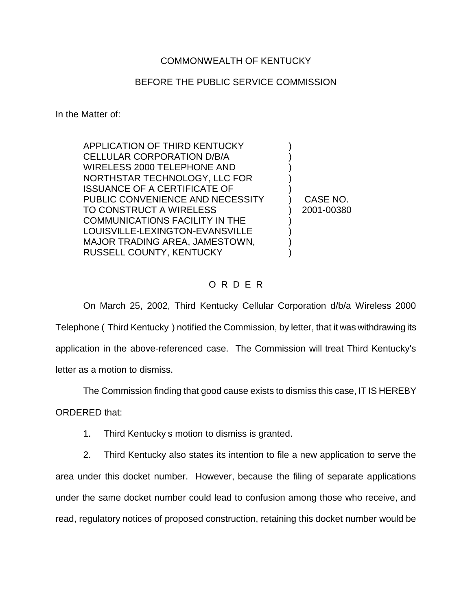## COMMONWEALTH OF KENTUCKY

## BEFORE THE PUBLIC SERVICE COMMISSION

In the Matter of:

APPLICATION OF THIRD KENTUCKY ) CELLULAR CORPORATION D/B/A ) WIRELESS 2000 TELEPHONE AND ) NORTHSTAR TECHNOLOGY, LLC FOR ) ISSUANCE OF A CERTIFICATE OF ) PUBLIC CONVENIENCE AND NECESSITY ) CASE NO. TO CONSTRUCT A WIRELESS ) 2001-00380 COMMUNICATIONS FACILITY IN THE ) LOUISVILLE-LEXINGTON-EVANSVILLE ) MAJOR TRADING AREA, JAMESTOWN, RUSSELL COUNTY, KENTUCKY )

## O R D E R

On March 25, 2002, Third Kentucky Cellular Corporation d/b/a Wireless 2000 Telephone ( Third Kentucky ) notified the Commission, by letter, that it was withdrawing its application in the above-referenced case. The Commission will treat Third Kentucky's letter as a motion to dismiss.

The Commission finding that good cause exists to dismiss this case, IT IS HEREBY

ORDERED that:

1. Third Kentucky s motion to dismiss is granted.

2. Third Kentucky also states its intention to file a new application to serve the area under this docket number. However, because the filing of separate applications under the same docket number could lead to confusion among those who receive, and read, regulatory notices of proposed construction, retaining this docket number would be